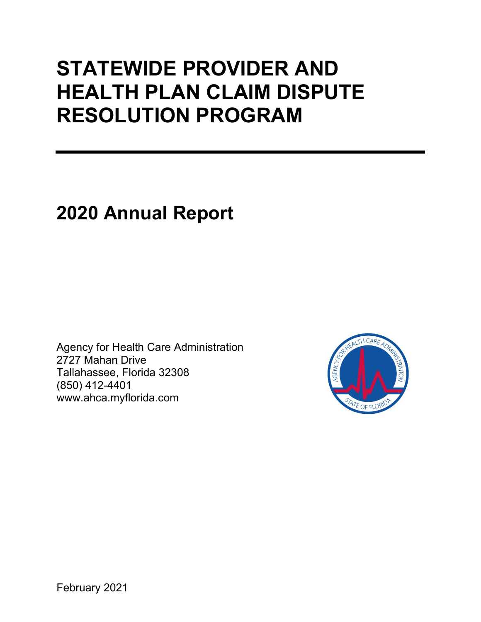# **STATEWIDE PROVIDER AND HEALTH PLAN CLAIM DISPUTE RESOLUTION PROGRAM**

## **2020 Annual Report**

Agency for Health Care Administration 2727 Mahan Drive Tallahassee, Florida 32308 (850) 412-4401 www.ahca.myflorida.com

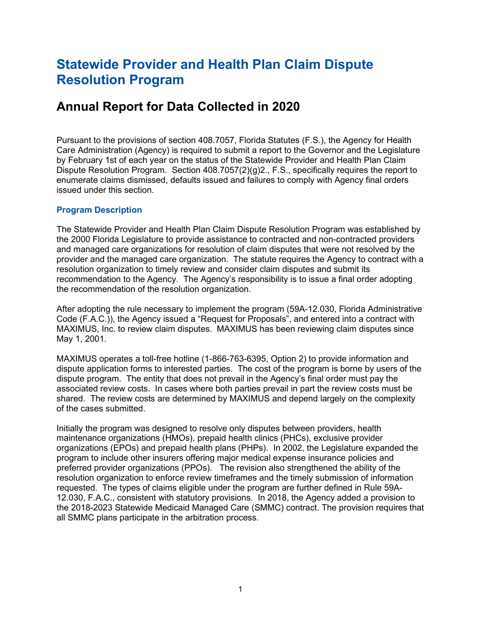## **Statewide Provider and Health Plan Claim Dispute Resolution Program**

### **Annual Report for Data Collected in 2020**

Pursuant to the provisions of section 408.7057, Florida Statutes (F.S.), the Agency for Health Care Administration (Agency) is required to submit a report to the Governor and the Legislature by February 1st of each year on the status of the Statewide Provider and Health Plan Claim Dispute Resolution Program. Section 408.7057(2)(g)2., F.S., specifically requires the report to enumerate claims dismissed, defaults issued and failures to comply with Agency final orders issued under this section.

#### **Program Description**

The Statewide Provider and Health Plan Claim Dispute Resolution Program was established by the 2000 Florida Legislature to provide assistance to contracted and non-contracted providers and managed care organizations for resolution of claim disputes that were not resolved by the provider and the managed care organization. The statute requires the Agency to contract with a resolution organization to timely review and consider claim disputes and submit its recommendation to the Agency. The Agency's responsibility is to issue a final order adopting the recommendation of the resolution organization.

After adopting the rule necessary to implement the program (59A-12.030, Florida Administrative Code (F.A.C.)), the Agency issued a "Request for Proposals", and entered into a contract with MAXIMUS, Inc. to review claim disputes. MAXIMUS has been reviewing claim disputes since May 1, 2001.

MAXIMUS operates a toll-free hotline (1-866-763-6395, Option 2) to provide information and dispute application forms to interested parties. The cost of the program is borne by users of the dispute program. The entity that does not prevail in the Agency's final order must pay the associated review costs. In cases where both parties prevail in part the review costs must be shared. The review costs are determined by MAXIMUS and depend largely on the complexity of the cases submitted.

Initially the program was designed to resolve only disputes between providers, health maintenance organizations (HMOs), prepaid health clinics (PHCs), exclusive provider organizations (EPOs) and prepaid health plans (PHPs). In 2002, the Legislature expanded the program to include other insurers offering major medical expense insurance policies and preferred provider organizations (PPOs). The revision also strengthened the ability of the resolution organization to enforce review timeframes and the timely submission of information requested. The types of claims eligible under the program are further defined in Rule 59A-12.030, F.A.C., consistent with statutory provisions. In 2018, the Agency added a provision to the 2018-2023 Statewide Medicaid Managed Care (SMMC) contract. The provision requires that all SMMC plans participate in the arbitration process.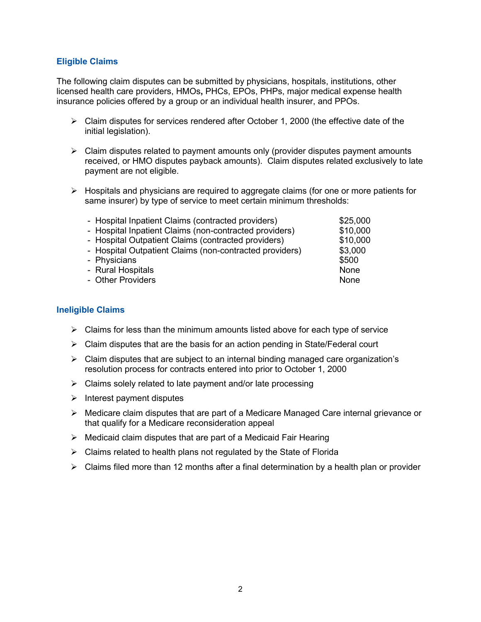#### **Eligible Claims**

The following claim disputes can be submitted by physicians, hospitals, institutions, other licensed health care providers, HMOs**,** PHCs, EPOs, PHPs, major medical expense health insurance policies offered by a group or an individual health insurer, and PPOs.

- $\triangleright$  Claim disputes for services rendered after October 1, 2000 (the effective date of the initial legislation).
- $\triangleright$  Claim disputes related to payment amounts only (provider disputes payment amounts received, or HMO disputes payback amounts). Claim disputes related exclusively to late payment are not eligible.
- $\triangleright$  Hospitals and physicians are required to aggregate claims (for one or more patients for same insurer) by type of service to meet certain minimum thresholds:

| - Hospital Inpatient Claims (contracted providers)      | \$25,000 |
|---------------------------------------------------------|----------|
| - Hospital Inpatient Claims (non-contracted providers)  | \$10,000 |
| - Hospital Outpatient Claims (contracted providers)     | \$10,000 |
| - Hospital Outpatient Claims (non-contracted providers) | \$3,000  |
| - Physicians                                            | \$500    |
| - Rural Hospitals                                       | None     |
| - Other Providers                                       | None     |
|                                                         |          |

#### **Ineligible Claims**

- $\triangleright$  Claims for less than the minimum amounts listed above for each type of service
- $\triangleright$  Claim disputes that are the basis for an action pending in State/Federal court
- $\triangleright$  Claim disputes that are subject to an internal binding managed care organization's resolution process for contracts entered into prior to October 1, 2000
- $\triangleright$  Claims solely related to late payment and/or late processing
- $\triangleright$  Interest payment disputes
- $\triangleright$  Medicare claim disputes that are part of a Medicare Managed Care internal grievance or that qualify for a Medicare reconsideration appeal
- $\triangleright$  Medicaid claim disputes that are part of a Medicaid Fair Hearing
- $\triangleright$  Claims related to health plans not regulated by the State of Florida
- $\triangleright$  Claims filed more than 12 months after a final determination by a health plan or provider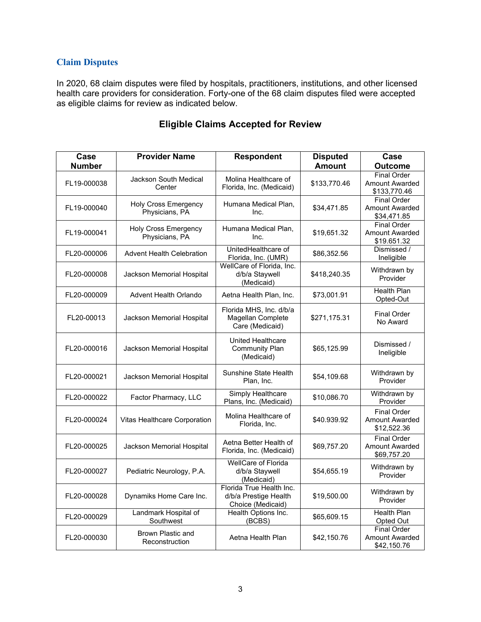#### **Claim Disputes**

In 2020, 68 claim disputes were filed by hospitals, practitioners, institutions, and other licensed health care providers for consideration. Forty-one of the 68 claim disputes filed were accepted as eligible claims for review as indicated below.

| Case          | <b>Provider Name</b>                          | <b>Respondent</b>                                                      | <b>Disputed</b> | Case                                                        |
|---------------|-----------------------------------------------|------------------------------------------------------------------------|-----------------|-------------------------------------------------------------|
| <b>Number</b> |                                               |                                                                        | <b>Amount</b>   | <b>Outcome</b>                                              |
| FL19-000038   | <b>Jackson South Medical</b><br>Center        | Molina Healthcare of<br>Florida, Inc. (Medicaid)                       | \$133,770.46    | <b>Final Order</b><br><b>Amount Awarded</b><br>\$133,770.46 |
| FL19-000040   | <b>Holy Cross Emergency</b><br>Physicians, PA | Humana Medical Plan,<br>Inc.                                           | \$34,471.85     | <b>Final Order</b><br><b>Amount Awarded</b><br>\$34,471.85  |
| FL19-000041   | <b>Holy Cross Emergency</b><br>Physicians, PA | Humana Medical Plan.<br>Inc.                                           | \$19,651.32     | <b>Final Order</b><br><b>Amount Awarded</b><br>\$19.651.32  |
| FL20-000006   | <b>Advent Health Celebration</b>              | UnitedHealthcare of<br>Florida, Inc. (UMR)                             | \$86,352.56     | Dismissed /<br>Ineligible                                   |
| FL20-000008   | Jackson Memorial Hospital                     | WellCare of Florida, Inc.<br>d/b/a Staywell<br>(Medicaid)              | \$418,240.35    | Withdrawn by<br>Provider                                    |
| FL20-000009   | Advent Health Orlando                         | Aetna Health Plan, Inc.                                                | \$73,001.91     | <b>Health Plan</b><br>Opted-Out                             |
| FL20-00013    | Jackson Memorial Hospital                     | Florida MHS, Inc. d/b/a<br>Magellan Complete<br>Care (Medicaid)        | \$271,175.31    | <b>Final Order</b><br>No Award                              |
| FL20-000016   | Jackson Memorial Hospital                     | United Healthcare<br><b>Community Plan</b><br>(Medicaid)               | \$65,125.99     | Dismissed /<br>Ineligible                                   |
| FL20-000021   | Jackson Memorial Hospital                     | Sunshine State Health<br>Plan, Inc.                                    | \$54,109.68     | Withdrawn by<br>Provider                                    |
| FL20-000022   | Factor Pharmacy, LLC                          | <b>Simply Healthcare</b><br>Plans, Inc. (Medicaid)                     | \$10,086.70     | Withdrawn by<br>Provider                                    |
| FL20-000024   | Vitas Healthcare Corporation                  | Molina Healthcare of<br>Florida, Inc.                                  | \$40.939.92     | <b>Final Order</b><br><b>Amount Awarded</b><br>\$12,522.36  |
| FL20-000025   | Jackson Memorial Hospital                     | Aetna Better Health of<br>Florida, Inc. (Medicaid)                     | \$69,757.20     | <b>Final Order</b><br><b>Amount Awarded</b><br>\$69,757.20  |
| FL20-000027   | Pediatric Neurology, P.A.                     | WellCare of Florida<br>d/b/a Staywell<br>(Medicaid)                    | \$54,655.19     | Withdrawn by<br>Provider                                    |
| FL20-000028   | Dynamiks Home Care Inc.                       | Florida True Health Inc.<br>d/b/a Prestige Health<br>Choice (Medicaid) | \$19,500.00     | Withdrawn by<br>Provider                                    |
| FL20-000029   | Landmark Hospital of<br>Southwest             | Health Options Inc.<br>(BCBS)                                          | \$65,609.15     | <b>Health Plan</b><br>Opted Out                             |
| FL20-000030   | Brown Plastic and<br>Reconstruction           | Aetna Health Plan                                                      | \$42,150.76     | <b>Final Order</b><br><b>Amount Awarded</b><br>\$42,150.76  |

#### **Eligible Claims Accepted for Review**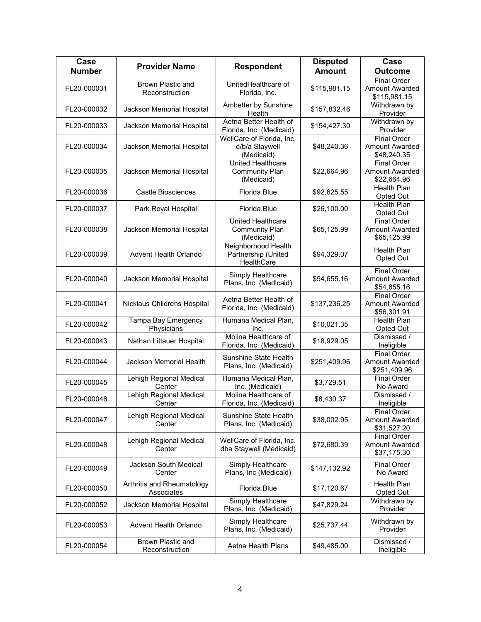| Case<br><b>Number</b> | <b>Provider Name</b>                     | <b>Respondent</b>                                               | <b>Disputed</b><br><b>Amount</b> | Case<br><b>Outcome</b>                                      |
|-----------------------|------------------------------------------|-----------------------------------------------------------------|----------------------------------|-------------------------------------------------------------|
|                       |                                          |                                                                 |                                  | <b>Final Order</b>                                          |
| FL20-000031           | Brown Plastic and<br>Reconstruction      | UnitedHealthcare of<br>Florida, Inc.                            | \$115,981.15                     | <b>Amount Awarded</b><br>\$115,981.15                       |
| FL20-000032           | Jackson Memorial Hospital                | Ambetter by Sunshine<br>Health                                  | \$157,832.46                     | Withdrawn by<br>Provider                                    |
| FL20-000033           | Jackson Memorial Hospital                | Aetna Better Health of<br>Florida, Inc. (Medicaid)              | \$154,427.30                     | Withdrawn by<br>Provider                                    |
| FL20-000034           | Jackson Memorial Hospital                | WellCare of Florida, Inc.<br>d/b/a Staywell<br>(Medicaid)       | \$48,240.36                      | <b>Final Order</b><br><b>Amount Awarded</b><br>\$48,240.35  |
| FL20-000035           | Jackson Memorial Hospital                | <b>United Healthcare</b><br><b>Community Plan</b><br>(Medicaid) | \$22,664.96                      | <b>Final Order</b><br><b>Amount Awarded</b><br>\$22,664.96  |
| FL20-000036           | <b>Castle Biosciences</b>                | Florida Blue                                                    | \$92,625.55                      | <b>Health Plan</b><br>Opted Out                             |
| FL20-000037           | Park Royal Hospital                      | Florida Blue                                                    | \$26,100.00                      | <b>Health Plan</b><br>Opted Out                             |
| FL20-000038           | Jackson Memorial Hospital                | United Healthcare<br><b>Community Plan</b><br>(Medicaid)        | \$65,125.99                      | <b>Final Order</b><br><b>Amount Awarded</b><br>\$65,125.99  |
| FL20-000039           | Advent Health Orlando                    | Neighborhood Health<br>Partnership (United<br>HealthCare        | \$94,329.07                      | <b>Health Plan</b><br>Opted Out                             |
| FL20-000040           | Jackson Memorial Hospital                | Simply Healthcare<br>Plans, Inc. (Medicaid)                     | \$54,655.16                      | <b>Final Order</b><br><b>Amount Awarded</b><br>\$54,655.16  |
| FL20-000041           | Nicklaus Childrens Hospital              | Aetna Better Health of<br>Florida, Inc. (Medicaid)              | \$137,236.25                     | <b>Final Order</b><br><b>Amount Awarded</b><br>\$56,301.91  |
| FL20-000042           | Tampa Bay Emergency<br>Physicians        | Humana Medical Plan,<br>Inc.                                    | \$10,021.35                      | Health Plan<br>Opted Out                                    |
| FL20-000043           | Nathan Littauer Hospital                 | Molina Healthcare of<br>Florida, Inc. (Medicaid)                | \$18,929.05                      | Dismissed /<br>Ineligible                                   |
| FL20-000044           | Jackson Memorial Health                  | Sunshine State Health<br>Plans, Inc. (Medicaid)                 | \$251,409.96                     | <b>Final Order</b><br><b>Amount Awarded</b><br>\$251,409.96 |
| FL20-000045           | Lehigh Regional Medical<br>Center        | Humana Medical Plan,<br>Inc. (Medicaid)                         | \$3,729.51                       | <b>Final Order</b><br>No Award                              |
| FL20-000046           | Lehigh Regional Medical<br>Center        | Molina Healthcare of<br>Florida, Inc. (Medicaid)                | \$8,430.37                       | Dismissed /<br>Ineligible                                   |
| FL20-000047           | Lehigh Regional Medical<br>Center        | Sunshine State Health<br>Plans, Inc. (Medicaid)                 | \$38,002.95                      | <b>Final Order</b><br><b>Amount Awarded</b><br>\$31,527.20  |
| FL20-000048           | Lehigh Regional Medical<br>Center        | WellCare of Florida, Inc.<br>dba Staywell (Medicaid)            | \$72,680.39                      | <b>Final Order</b><br><b>Amount Awarded</b><br>\$37,175.30  |
| FL20-000049           | <b>Jackson South Medical</b><br>Center   | Simply Healthcare<br>Plans, Inc (Medicaid)                      | \$147,132.92                     | <b>Final Order</b><br>No Award                              |
| FL20-000050           | Arthritis and Rheumatology<br>Associates | Florida Blue                                                    | \$17,120.67                      | <b>Health Plan</b><br>Opted Out                             |
| FL20-000052           | Jackson Memorial Hospital                | Simply Healthcare<br>Plans, Inc. (Medicaid)                     | \$47,829.24                      | Withdrawn by<br>Provider                                    |
| FL20-000053           | Advent Health Orlando                    | Simply Healthcare<br>Plans, Inc. (Medicaid)                     | \$25,737.44                      | Withdrawn by<br>Provider                                    |
| FL20-000054           | Brown Plastic and<br>Reconstruction      | Aetna Health Plans                                              | \$49,485.00                      | Dismissed /<br>Ineligible                                   |